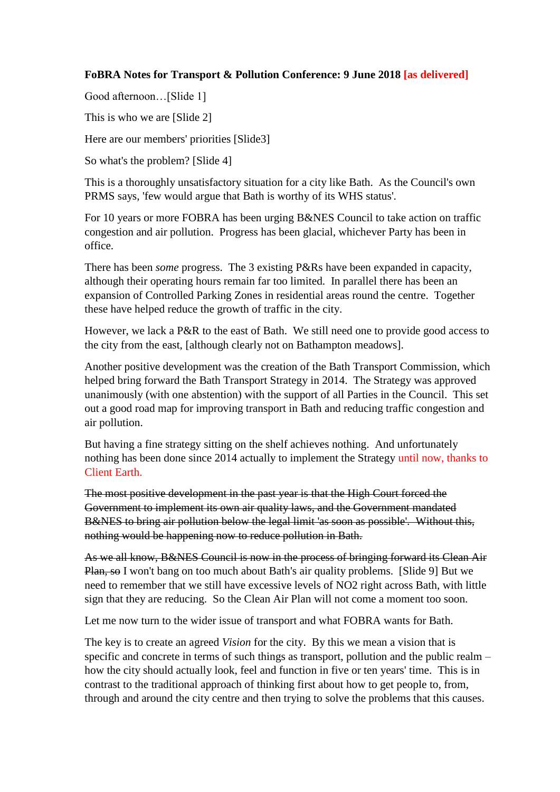## **FoBRA Notes for Transport & Pollution Conference: 9 June 2018 [as delivered]**

Good afternoon…[Slide 1]

This is who we are [Slide 2]

Here are our members' priorities [Slide3]

So what's the problem? [Slide 4]

This is a thoroughly unsatisfactory situation for a city like Bath. As the Council's own PRMS says, 'few would argue that Bath is worthy of its WHS status'.

For 10 years or more FOBRA has been urging B&NES Council to take action on traffic congestion and air pollution. Progress has been glacial, whichever Party has been in office.

There has been *some* progress. The 3 existing P&Rs have been expanded in capacity, although their operating hours remain far too limited. In parallel there has been an expansion of Controlled Parking Zones in residential areas round the centre. Together these have helped reduce the growth of traffic in the city.

However, we lack a P&R to the east of Bath. We still need one to provide good access to the city from the east, [although clearly not on Bathampton meadows].

Another positive development was the creation of the Bath Transport Commission, which helped bring forward the Bath Transport Strategy in 2014. The Strategy was approved unanimously (with one abstention) with the support of all Parties in the Council. This set out a good road map for improving transport in Bath and reducing traffic congestion and air pollution.

But having a fine strategy sitting on the shelf achieves nothing. And unfortunately nothing has been done since 2014 actually to implement the Strategy until now, thanks to Client Earth.

The most positive development in the past year is that the High Court forced the Government to implement its own air quality laws, and the Government mandated B&NES to bring air pollution below the legal limit 'as soon as possible'. Without this, nothing would be happening now to reduce pollution in Bath.

As we all know, B&NES Council is now in the process of bringing forward its Clean Air Plan, so I won't bang on too much about Bath's air quality problems. [Slide 9] But we need to remember that we still have excessive levels of NO2 right across Bath, with little sign that they are reducing. So the Clean Air Plan will not come a moment too soon.

Let me now turn to the wider issue of transport and what FOBRA wants for Bath.

The key is to create an agreed *Vision* for the city. By this we mean a vision that is specific and concrete in terms of such things as transport, pollution and the public realm – how the city should actually look, feel and function in five or ten years' time. This is in contrast to the traditional approach of thinking first about how to get people to, from, through and around the city centre and then trying to solve the problems that this causes.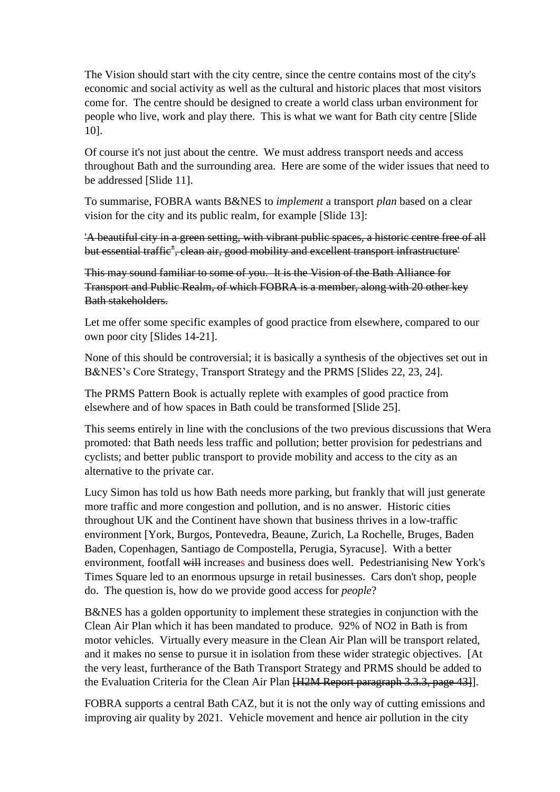The Vision should start with the city centre, since the centre contains most of the city's economic and social activity as well as the cultural and historic places that most visitors come for. The centre should be designed to create a world class urban environment for people who live, work and play there. This is what we want for Bath city centre [Slide 10].

Of course it's not just about the centre. We must address transport needs and access throughout Bath and the surrounding area. Here are some of the wider issues that need to be addressed [Slide 11].

To summarise, FOBRA wants B&NES to *implement* a transport *plan* based on a clear vision for the city and its public realm, for example [Slide 13]:

'A beautiful city in a green setting, with vibrant public spaces, a historic centre free of all but essential traffie<sup>\*</sup>, clean air, good mobility and excellent transport infrastructure<sup>1</sup>

This may sound familiar to some of you. It is the Vision of the Bath Alliance for Transport and Public Realm, of which FOBRA is a member, along with 20 other key Bath stakeholders.

Let me offer some specific examples of good practice from elsewhere, compared to our own poor city [Slides 14-21].

None of this should be controversial; it is basically a synthesis of the objectives set out in B&NES's Core Strategy, Transport Strategy and the PRMS [Slides 22, 23, 24].

The PRMS Pattern Book is actually replete with examples of good practice from elsewhere and of how spaces in Bath could be transformed [Slide 25].

This seems entirely in line with the conclusions of the two previous discussions that Wera promoted: that Bath needs less traffic and pollution; better provision for pedestrians and cyclists; and better public transport to provide mobility and access to the city as an alternative to the private car.

Lucy Simon has told us how Bath needs more parking, but frankly that will just generate more traffic and more congestion and pollution, and is no answer. Historic cities throughout UK and the Continent have shown that business thrives in a low-traffic environment [York, Burgos, Pontevedra, Beaune, Zurich, La Rochelle, Bruges, Baden Baden, Copenhagen, Santiago de Compostella, Perugia, Syracuse]. With a better environment, footfall will increases and business does well. Pedestrianising New York's Times Square led to an enormous upsurge in retail businesses. Cars don't shop, people do. The question is, how do we provide good access for *people*?

B&NES has a golden opportunity to implement these strategies in conjunction with the Clean Air Plan which it has been mandated to produce. 92% of NO2 in Bath is from motor vehicles. Virtually every measure in the Clean Air Plan will be transport related, and it makes no sense to pursue it in isolation from these wider strategic objectives. [At the very least, furtherance of the Bath Transport Strategy and PRMS should be added to the Evaluation Criteria for the Clean Air Plan [H2M Report paragraph 3.3.3, page 43]].

FOBRA supports a central Bath CAZ, but it is not the only way of cutting emissions and improving air quality by 2021. Vehicle movement and hence air pollution in the city